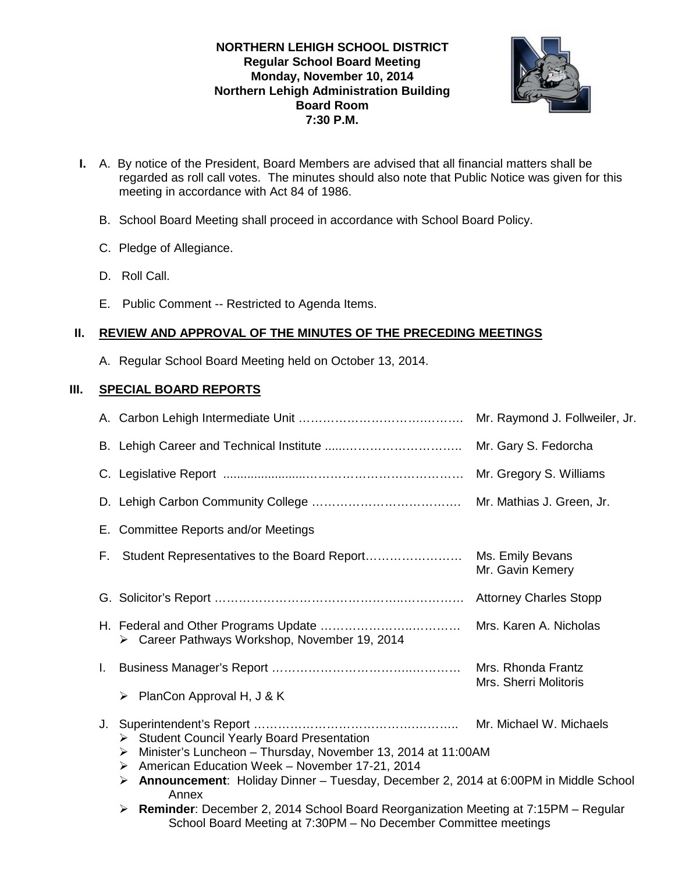# **NORTHERN LEHIGH SCHOOL DISTRICT Regular School Board Meeting Monday, November 10, 2014 Northern Lehigh Administration Building Board Room 7:30 P.M.**



- **I.** A. By notice of the President, Board Members are advised that all financial matters shall be regarded as roll call votes. The minutes should also note that Public Notice was given for this meeting in accordance with Act 84 of 1986.
	- B. School Board Meeting shall proceed in accordance with School Board Policy.
	- C. Pledge of Allegiance.
	- D. Roll Call.
	- E. Public Comment -- Restricted to Agenda Items.

# **II. REVIEW AND APPROVAL OF THE MINUTES OF THE PRECEDING MEETINGS**

A. Regular School Board Meeting held on October 13, 2014.

# **III. SPECIAL BOARD REPORTS**

|    |                                                                                                                                                                                | Mr. Raymond J. Follweiler, Jr.                                                                                                                                                 |  |
|----|--------------------------------------------------------------------------------------------------------------------------------------------------------------------------------|--------------------------------------------------------------------------------------------------------------------------------------------------------------------------------|--|
|    |                                                                                                                                                                                | Mr. Gary S. Fedorcha                                                                                                                                                           |  |
|    |                                                                                                                                                                                | Mr. Gregory S. Williams                                                                                                                                                        |  |
|    |                                                                                                                                                                                | Mr. Mathias J. Green, Jr.                                                                                                                                                      |  |
|    | E. Committee Reports and/or Meetings                                                                                                                                           |                                                                                                                                                                                |  |
|    |                                                                                                                                                                                | Mr. Gavin Kemery                                                                                                                                                               |  |
|    |                                                                                                                                                                                |                                                                                                                                                                                |  |
|    | > Career Pathways Workshop, November 19, 2014                                                                                                                                  | Mrs. Karen A. Nicholas                                                                                                                                                         |  |
| L. |                                                                                                                                                                                | Mrs. Rhonda Frantz                                                                                                                                                             |  |
|    | PlanCon Approval H, J & K<br>➤                                                                                                                                                 | Mrs. Sherri Molitoris                                                                                                                                                          |  |
| J. | > Student Council Yearly Board Presentation<br>➤<br>American Education Week - November 17-21, 2014<br>➤<br>➤<br>Annex                                                          | Mr. Michael W. Michaels<br>Minister's Luncheon - Thursday, November 13, 2014 at 11:00AM<br>Announcement: Holiday Dinner - Tuesday, December 2, 2014 at 6:00PM in Middle School |  |
|    | Reminder: December 2, 2014 School Board Reorganization Meeting at 7:15PM - Regular<br>$\blacktriangleright$<br>School Board Meeting at 7:30PM - No December Committee meetings |                                                                                                                                                                                |  |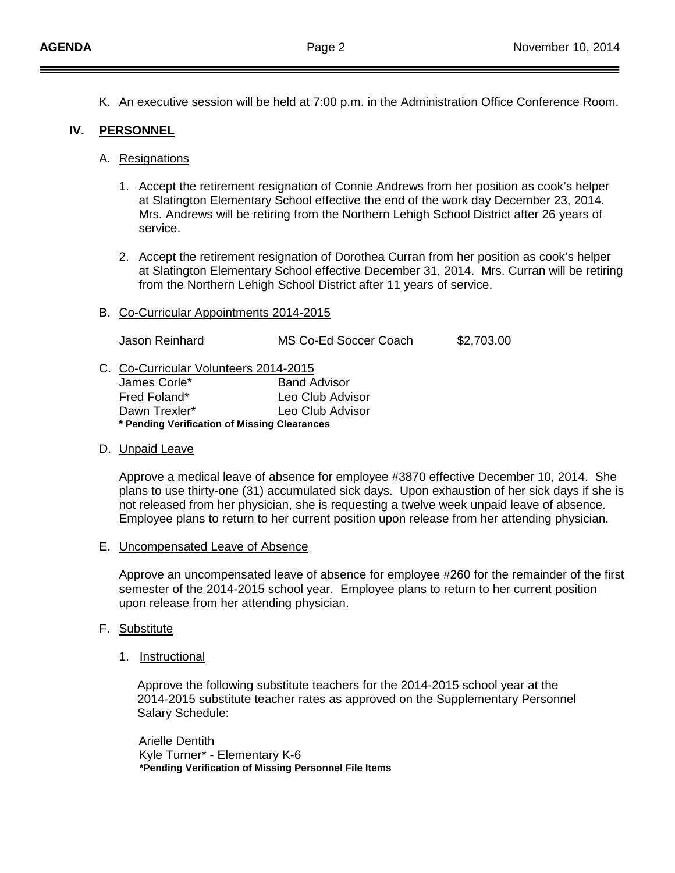K. An executive session will be held at 7:00 p.m. in the Administration Office Conference Room.

# **IV. PERSONNEL**

#### A. Resignations

- 1. Accept the retirement resignation of Connie Andrews from her position as cook's helper at Slatington Elementary School effective the end of the work day December 23, 2014. Mrs. Andrews will be retiring from the Northern Lehigh School District after 26 years of service.
- 2. Accept the retirement resignation of Dorothea Curran from her position as cook's helper at Slatington Elementary School effective December 31, 2014. Mrs. Curran will be retiring from the Northern Lehigh School District after 11 years of service.
- B. Co-Curricular Appointments 2014-2015

Jason Reinhard MS Co-Ed Soccer Coach \$2,703.00

C. Co-Curricular Volunteers 2014-2015

| * Pending Verification of Missing Clearances |                     |  |  |
|----------------------------------------------|---------------------|--|--|
| Dawn Trexler*                                | Leo Club Advisor    |  |  |
| Fred Foland*                                 | Leo Club Advisor    |  |  |
| James Corle*                                 | <b>Band Advisor</b> |  |  |

### D. Unpaid Leave

Approve a medical leave of absence for employee #3870 effective December 10, 2014. She plans to use thirty-one (31) accumulated sick days. Upon exhaustion of her sick days if she is not released from her physician, she is requesting a twelve week unpaid leave of absence. Employee plans to return to her current position upon release from her attending physician.

E. Uncompensated Leave of Absence

Approve an uncompensated leave of absence for employee #260 for the remainder of the first semester of the 2014-2015 school year. Employee plans to return to her current position upon release from her attending physician.

- F. <u>Substitute</u>
	- 1. Instructional

Approve the following substitute teachers for the 2014-2015 school year at the 2014-2015 substitute teacher rates as approved on the Supplementary Personnel Salary Schedule:

Arielle Dentith Kyle Turner\* - Elementary K-6  **\*Pending Verification of Missing Personnel File Items**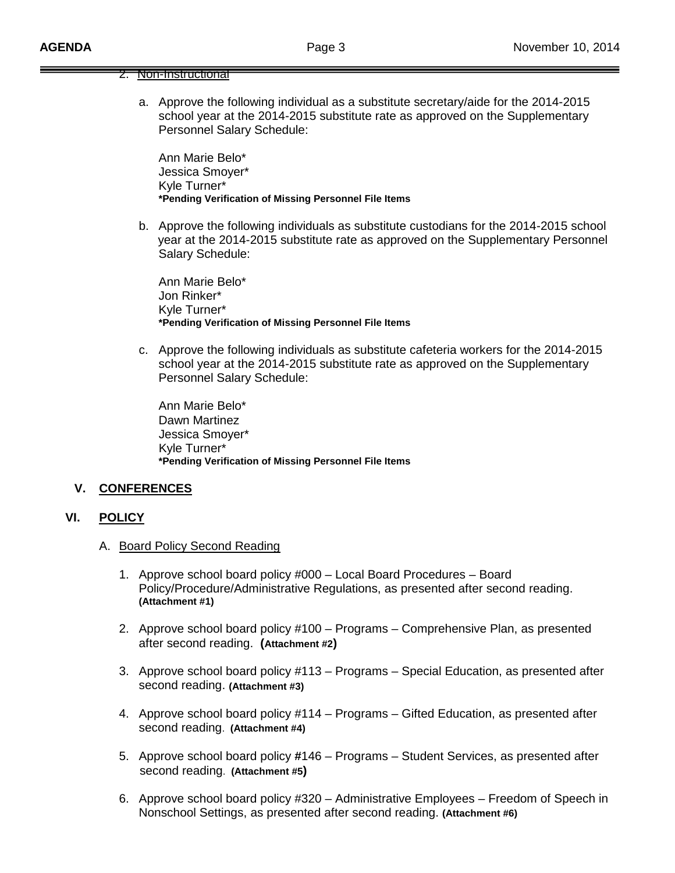| inon-instructional |
|--------------------|
|                    |

a. Approve the following individual as a substitute secretary/aide for the 2014-2015 school year at the 2014-2015 substitute rate as approved on the Supplementary Personnel Salary Schedule:

Ann Marie Belo\* Jessica Smoyer\* Kyle Turner\* **\*Pending Verification of Missing Personnel File Items**

b. Approve the following individuals as substitute custodians for the 2014-2015 school year at the 2014-2015 substitute rate as approved on the Supplementary Personnel Salary Schedule:

 Ann Marie Belo\* Jon Rinker\* Kyle Turner\* **\*Pending Verification of Missing Personnel File Items**

c. Approve the following individuals as substitute cafeteria workers for the 2014-2015 school year at the 2014-2015 substitute rate as approved on the Supplementary Personnel Salary Schedule:

 Ann Marie Belo\* Dawn Martinez Jessica Smoyer\* Kyle Turner\* **\*Pending Verification of Missing Personnel File Items**

#### **V. CONFERENCES**

#### **VI. POLICY**

- A. Board Policy Second Reading
	- 1. Approve school board policy #000 Local Board Procedures Board Policy/Procedure/Administrative Regulations, as presented after second reading. **(Attachment #1)**
	- 2. Approve school board policy #100 Programs Comprehensive Plan, as presented after second reading. **(Attachment #2)**
	- 3. Approve school board policy #113 Programs Special Education, as presented after second reading. **(Attachment #3)**
	- 4. Approve school board policy #114 Programs Gifted Education, as presented after second reading. **(Attachment #4)**
	- 5. Approve school board policy **#**146 Programs Student Services, as presented after second reading. **(Attachment #5)**
	- 6. Approve school board policy #320 Administrative Employees Freedom of Speech in Nonschool Settings, as presented after second reading. **(Attachment #6)**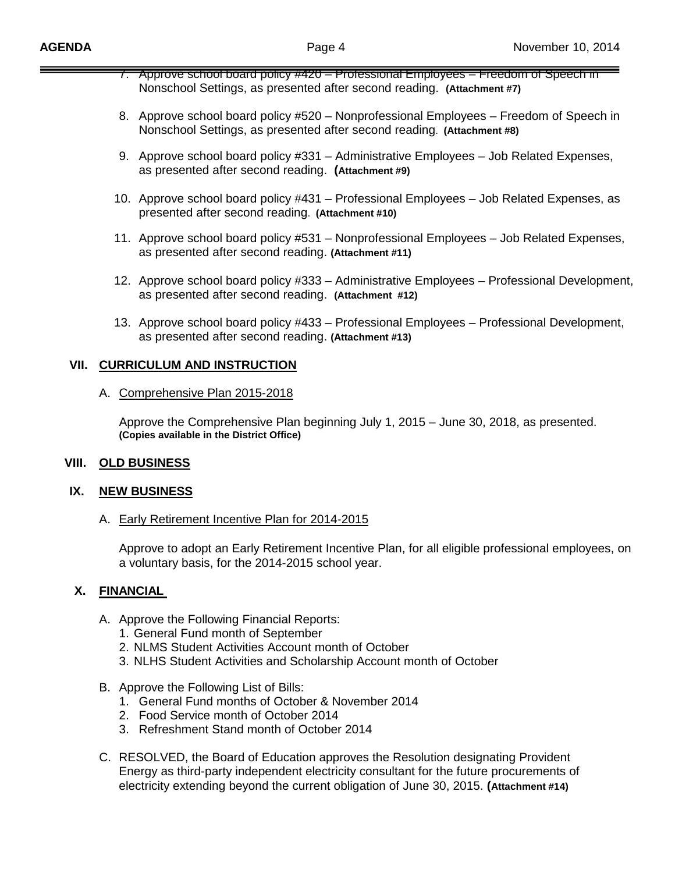- 7. Approve school board policy #420 Professional Employees Freedom of Speech in Nonschool Settings, as presented after second reading. **(Attachment #7)**
- 8. Approve school board policy #520 Nonprofessional Employees Freedom of Speech in Nonschool Settings, as presented after second reading. **(Attachment #8)**
- 9. Approve school board policy #331 Administrative Employees Job Related Expenses, as presented after second reading. **(Attachment #9)**
- 10. Approve school board policy #431 Professional Employees Job Related Expenses, as presented after second reading. **(Attachment #10)**
- 11. Approve school board policy #531 Nonprofessional Employees Job Related Expenses, as presented after second reading. **(Attachment #11)**
- 12. Approve school board policy #333 Administrative Employees Professional Development, as presented after second reading. **(Attachment #12)**
- 13. Approve school board policy #433 Professional Employees Professional Development, as presented after second reading. **(Attachment #13)**

## **VII. CURRICULUM AND INSTRUCTION**

#### A. Comprehensive Plan 2015-2018

Approve the Comprehensive Plan beginning July 1, 2015 – June 30, 2018, as presented. **(Copies available in the District Office)**

#### **VIII. OLD BUSINESS**

#### **IX. NEW BUSINESS**

# A. Early Retirement Incentive Plan for 2014-2015

Approve to adopt an Early Retirement Incentive Plan, for all eligible professional employees, on a voluntary basis, for the 2014-2015 school year.

## **X. FINANCIAL**

- A. Approve the Following Financial Reports:
	- 1. General Fund month of September
	- 2. NLMS Student Activities Account month of October
	- 3. NLHS Student Activities and Scholarship Account month of October
- B. Approve the Following List of Bills:
	- 1. General Fund months of October & November 2014
	- 2. Food Service month of October 2014
	- 3. Refreshment Stand month of October 2014
- C. RESOLVED, the Board of Education approves the Resolution designating Provident Energy as third-party independent electricity consultant for the future procurements of electricity extending beyond the current obligation of June 30, 2015. **(Attachment #14)**